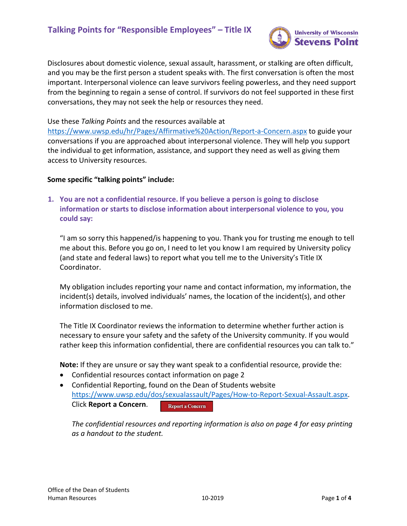

Disclosures about domestic violence, sexual assault, harassment, or stalking are often difficult, and you may be the first person a student speaks with. The first conversation is often the most important. Interpersonal violence can leave survivors feeling powerless, and they need support from the beginning to regain a sense of control. If survivors do not feel supported in these first conversations, they may not seek the help or resources they need.

Use these *Talking Points* and the resources available at

<https://www.uwsp.edu/hr/Pages/Affirmative%20Action/Report-a-Concern.aspx> to guide your conversations if you are approached about interpersonal violence. They will help you support the individual to get information, assistance, and support they need as well as giving them access to University resources.

### **Some specific "talking points" include:**

**1. You are not a confidential resource. If you believe a person is going to disclose information or starts to disclose information about interpersonal violence to you, you could say:**

"I am so sorry this happened/is happening to you. Thank you for trusting me enough to tell me about this. Before you go on, I need to let you know I am required by University policy (and state and federal laws) to report what you tell me to the University's Title IX Coordinator.

My obligation includes reporting your name and contact information, my information, the incident(s) details, involved individuals' names, the location of the incident(s), and other information disclosed to me.

The Title IX Coordinator reviews the information to determine whether further action is necessary to ensure your safety and the safety of the University community. If you would rather keep this information confidential, there are confidential resources you can talk to."

**Note:** If they are unsure or say they want speak to a confidential resource, provide the:

- Confidential resources contact information on page 2
- Confidential Reporting, found on the Dean of Students website [https://www.uwsp.edu/dos/sexualassault/Pages/How-to-Report-Sexual-Assault.aspx.](https://www.uwsp.edu/dos/sexualassault/Pages/How-to-Report-Sexual-Assault.aspx) Click **Report a Concern**. **Report a Concern**

*The confidential resources and reporting information is also on page 4 for easy printing as a handout to the student.*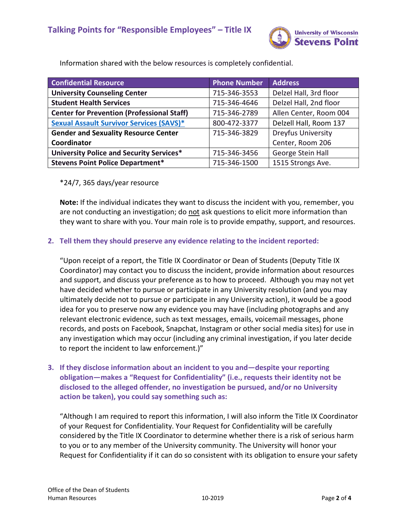

| <b>Confidential Resource</b>                      | <b>Phone Number</b> | <b>Address</b>            |
|---------------------------------------------------|---------------------|---------------------------|
| <b>University Counseling Center</b>               | 715-346-3553        | Delzel Hall, 3rd floor    |
| <b>Student Health Services</b>                    | 715-346-4646        | Delzel Hall, 2nd floor    |
| <b>Center for Prevention (Professional Staff)</b> | 715-346-2789        | Allen Center, Room 004    |
| <b>Sexual Assault Survivor Services (SAVS)*</b>   | 800-472-3377        | Delzell Hall, Room 137    |
| <b>Gender and Sexuality Resource Center</b>       | 715-346-3829        | <b>Dreyfus University</b> |
| Coordinator                                       |                     | Center, Room 206          |
| University Police and Security Services*          | 715-346-3456        | George Stein Hall         |
| <b>Stevens Point Police Department*</b>           | 715-346-1500        | 1515 Strongs Ave.         |

Information shared with the below resources is completely confidential.

# \*24/7, 365 days/year resource

**Note:** If the individual indicates they want to discuss the incident with you, remember, you are not conducting an investigation; do not ask questions to elicit more information than they want to share with you. Your main role is to provide empathy, support, and resources.

# **2. Tell them they should preserve any evidence relating to the incident reported:**

"Upon receipt of a report, the Title IX Coordinator or Dean of Students (Deputy Title IX Coordinator) may contact you to discuss the incident, provide information about resources and support, and discuss your preference as to how to proceed. Although you may not yet have decided whether to pursue or participate in any University resolution (and you may ultimately decide not to pursue or participate in any University action), it would be a good idea for you to preserve now any evidence you may have (including photographs and any relevant electronic evidence, such as text messages, emails, voicemail messages, phone records, and posts on Facebook, Snapchat, Instagram or other social media sites) for use in any investigation which may occur (including any criminal investigation, if you later decide to report the incident to law enforcement.)"

# **3. If they disclose information about an incident to you and—despite your reporting obligation—makes a "Request for Confidentiality" (i.e., requests their identity not be disclosed to the alleged offender, no investigation be pursued, and/or no University action be taken), you could say something such as:**

"Although I am required to report this information, I will also inform the Title IX Coordinator of your Request for Confidentiality. Your Request for Confidentiality will be carefully considered by the Title IX Coordinator to determine whether there is a risk of serious harm to you or to any member of the University community. The University will honor your Request for Confidentiality if it can do so consistent with its obligation to ensure your safety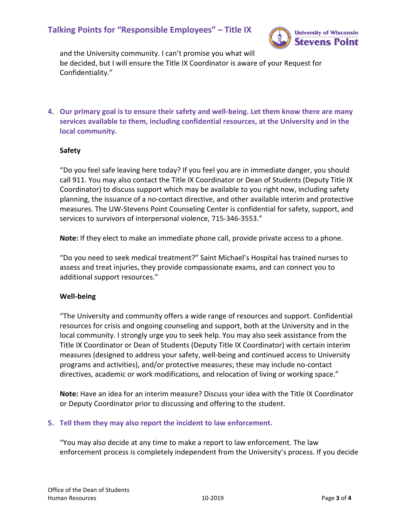# **Talking Points for "Responsible Employees" – Title IX**



and the University community. I can't promise you what will be decided, but I will ensure the Title IX Coordinator is aware of your Request for Confidentiality."

**4. Our primary goal is to ensure their safety and well-being. Let them know there are many services available to them, including confidential resources, at the University and in the local community.**

#### **Safety**

"Do you feel safe leaving here today? If you feel you are in immediate danger, you should call 911. You may also contact the Title IX Coordinator or Dean of Students (Deputy Title IX Coordinator) to discuss support which may be available to you right now, including safety planning, the issuance of a no-contact directive, and other available interim and protective measures. The UW-Stevens Point Counseling Center is confidential for safety, support, and services to survivors of interpersonal violence, 715-346-3553."

**Note:** If they elect to make an immediate phone call, provide private access to a phone.

"Do you need to seek medical treatment?" Saint Michael's Hospital has trained nurses to assess and treat injuries, they provide compassionate exams, and can connect you to additional support resources."

#### **Well-being**

"The University and community offers a wide range of resources and support. Confidential resources for crisis and ongoing counseling and support, both at the University and in the local community. I strongly urge you to seek help. You may also seek assistance from the Title IX Coordinator or Dean of Students (Deputy Title IX Coordinator) with certain interim measures (designed to address your safety, well-being and continued access to University programs and activities), and/or protective measures; these may include no-contact directives, academic or work modifications, and relocation of living or working space."

**Note:** Have an idea for an interim measure? Discuss your idea with the Title IX Coordinator or Deputy Coordinator prior to discussing and offering to the student.

#### **5. Tell them they may also report the incident to law enforcement.**

"You may also decide at any time to make a report to law enforcement. The law enforcement process is completely independent from the University's process. If you decide